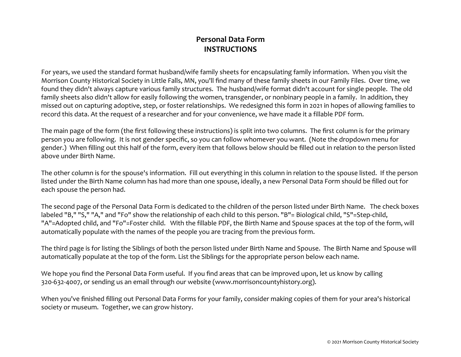## **Personal Data Form INSTRUCTIONS**

For years, we used the standard format husband/wife family sheets for encapsulating family information. When you visit the Morrison County Historical Society in Little Falls, MN, you'll find many of these family sheets in our Family Files. Over time, we found they didn't always capture various family structures. The husband/wife format didn't account for single people. The old family sheets also didn't allow for easily following the women, transgender, or nonbinary people in a family. In addition, they missed out on capturing adoptive, step, or foster relationships. We redesigned this form in 2021 in hopes of allowing families to record this data. At the request of a researcher and for your convenience, we have made it a fillable PDF form.

The main page of the form (the first following these instructions) is split into two columns. The first column is for the primary person you are following. It is not gender specific, so you can follow whomever you want. (Note the dropdown menu for gender.) When filling out this half of the form, every item that follows below should be filled out in relation to the person listed above under Birth Name.

The other column is for the spouse's information. Fill out everything in this column in relation to the spouse listed. If the person listed under the Birth Name column has had more than one spouse, ideally, a new Personal Data Form should be filled out for each spouse the person had.

The second page of the Personal Data Form is dedicated to the children of the person listed under Birth Name. The check boxeslabeled "B," "S," "A," and "Fo" show the relationship of each child to this person. "B"= Biological child, "S"=Step-child, "A"=Adopted child, and "Fo"=Foster child. With the fillable PDF, the Birth Name and Spouse spaces at the top of the form, will automatically populate with the names of the people you are tracing from the previous form.

The third page is for listing the Siblings of both the person listed under Birth Name and Spouse. The Birth Name and Spouse will automatically populate at the top of the form. List the Siblings for the appropriate person below each name.

We hope you find the Personal Data Form useful. If you find areas that can be improved upon, let us know by calling 320-632-4007, or sending us an email through our website (www.morrisoncountyhistory.org).

When you've finished filling out Personal Data Forms for your family, consider making copies of them for your area's historical society or museum. Together, we can grow history.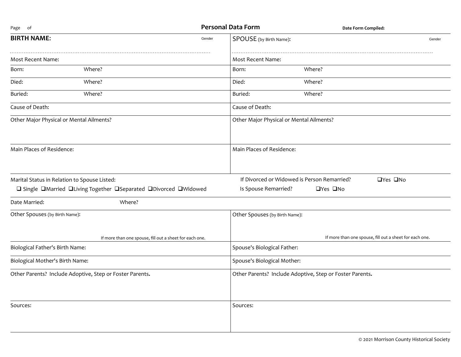| Page of                                      |                                                                  | <b>Personal Data Form</b>                   | Date Form Compiled:                                      |  |
|----------------------------------------------|------------------------------------------------------------------|---------------------------------------------|----------------------------------------------------------|--|
| <b>BIRTH NAME:</b>                           | Gender                                                           | SPOUSE (by Birth Name):                     | Gender                                                   |  |
| Most Recent Name:                            |                                                                  | Most Recent Name:                           |                                                          |  |
| Born:                                        | Where?                                                           | Born:                                       | Where?                                                   |  |
| Died:                                        | Where?                                                           | Died:                                       | Where?                                                   |  |
| Buried:                                      | Where?                                                           | Buried:                                     | Where?                                                   |  |
| Cause of Death:                              |                                                                  | Cause of Death:                             |                                                          |  |
| Other Major Physical or Mental Ailments?     |                                                                  | Other Major Physical or Mental Ailments?    |                                                          |  |
| Main Places of Residence:                    |                                                                  | Main Places of Residence:                   |                                                          |  |
| Marital Status in Relation to Spouse Listed: |                                                                  | If Divorced or Widowed is Person Remarried? | □Yes □No                                                 |  |
|                                              | □ Single □Married □Living Together □Separated □Divorced □Widowed | Is Spouse Remarried?                        | □Yes □No                                                 |  |
| Date Married:                                | Where?                                                           |                                             |                                                          |  |
| Other Spouses (by Birth Name):               |                                                                  | Other Spouses (by Birth Name):              |                                                          |  |
|                                              | If more than one spouse, fill out a sheet for each one.          |                                             | If more than one spouse, fill out a sheet for each one.  |  |
| Biological Father's Birth Name:              |                                                                  | Spouse's Biological Father:                 |                                                          |  |
| Biological Mother's Birth Name:              |                                                                  | Spouse's Biological Mother:                 |                                                          |  |
|                                              | Other Parents? Include Adoptive, Step or Foster Parents.         |                                             | Other Parents? Include Adoptive, Step or Foster Parents. |  |
| Sources:                                     |                                                                  | Sources:                                    |                                                          |  |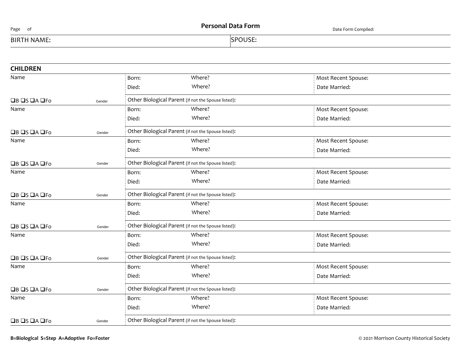| Page<br>ot         | <b>Personal Data Form</b> | Date Form Compiled: |
|--------------------|---------------------------|---------------------|
| <b>BIRTH NAME:</b> | <b>SPOUSE:</b>            |                     |

| <b>CHILDREN</b>                      |        |                                                     |                                                     |                     |
|--------------------------------------|--------|-----------------------------------------------------|-----------------------------------------------------|---------------------|
| Name                                 |        | Born:                                               | Where?                                              | Most Recent Spouse: |
|                                      |        | Died:                                               | Where?                                              | Date Married:       |
| $\Box$ B $\Box$ S $\Box$ A $\Box$ Fo | Gender |                                                     | Other Biological Parent (if not the Spouse listed): |                     |
| Name                                 |        | Born:                                               | Where?                                              | Most Recent Spouse: |
|                                      |        | Died:                                               | Where?                                              | Date Married:       |
| $\Box$ B $\Box$ S $\Box$ A $\Box$ Fo | Gender |                                                     | Other Biological Parent (if not the Spouse listed): |                     |
| Name                                 |        | Born:                                               | Where?                                              | Most Recent Spouse: |
|                                      |        | Died:                                               | Where?                                              | Date Married:       |
| $\Box$ B $\Box$ S $\Box$ A $\Box$ Fo | Gender | Other Biological Parent (if not the Spouse listed): |                                                     |                     |
| Name                                 |        | Born:                                               | Where?                                              | Most Recent Spouse: |
|                                      |        | Died:                                               | Where?                                              | Date Married:       |
| $\Box$ B $\Box$ S $\Box$ A $\Box$ Fo | Gender |                                                     | Other Biological Parent (if not the Spouse listed): |                     |
| Name                                 |        | Born:                                               | Where?                                              | Most Recent Spouse: |
|                                      |        | Died:                                               | Where?                                              | Date Married:       |
| $\Box$ B $\Box$ S $\Box$ A $\Box$ Fo | Gender | Other Biological Parent (if not the Spouse listed): |                                                     |                     |
| Name                                 |        | Born:                                               | Where?                                              | Most Recent Spouse: |
|                                      |        | Died:                                               | Where?                                              | Date Married:       |
| $\Box$ B $\Box$ S $\Box$ A $\Box$ Fo | Gender | Other Biological Parent (if not the Spouse listed): |                                                     |                     |
| Name                                 |        | Born:                                               | Where?                                              | Most Recent Spouse: |
|                                      |        | Died:                                               | Where?                                              | Date Married:       |
| $\Box$ B $\Box$ S $\Box$ A $\Box$ Fo | Gender | Other Biological Parent (if not the Spouse listed): |                                                     |                     |
| Name                                 |        | Born:                                               | Where?                                              | Most Recent Spouse: |
|                                      |        | Died:                                               | Where?                                              | Date Married:       |
| $\Box$ B $\Box$ S $\Box$ A $\Box$ Fo | Gender |                                                     | Other Biological Parent (if not the Spouse listed): |                     |